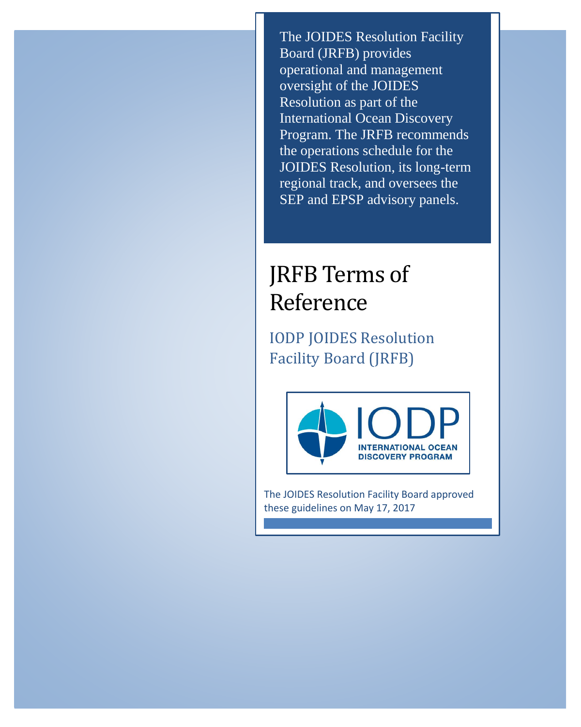The JOIDES Resolution Facility Board (JRFB) provides operational and management oversight of the JOIDES Resolution as part of the International Ocean Discovery Program. The JRFB recommends the operations schedule for the JOIDES Resolution, its long-term regional track, and oversees the SEP and EPSP advisory panels.

# JRFB Terms of Reference

IODP JOIDES Resolution Facility Board (JRFB)



The JOIDES Resolution Facility Board approved these guidelines on May 17, 2017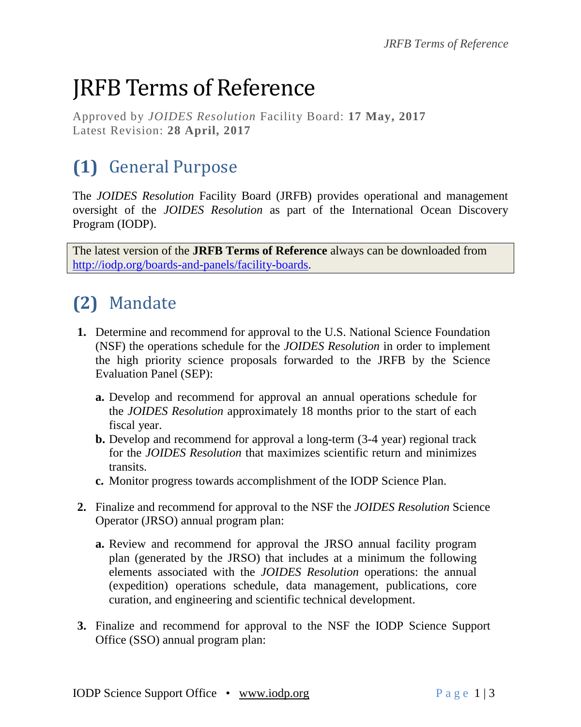# JRFB Terms of Reference

Approved by *JOIDES Resolution* Facility Board: **17 May, 2017** Latest Revision: **28 April, 2017**

# **(1)** General Purpose

The *JOIDES Resolution* Facility Board (JRFB) provides operational and management oversight of the *JOIDES Resolution* as part of the International Ocean Discovery Program (IODP).

The latest version of the **JRFB Terms of Reference** always can be downloaded from [http://iodp.org/boards-and-panels/facility-boards.](http://iodp.org/boards-and-panels/facility-boards)

# **(2)** Mandate

- **1.** Determine and recommend for approval to the U.S. National Science Foundation (NSF) the operations schedule for the *JOIDES Resolution* in order to implement the high priority science proposals forwarded to the JRFB by the Science Evaluation Panel (SEP):
	- **a.** Develop and recommend for approval an annual operations schedule for the *JOIDES Resolution* approximately 18 months prior to the start of each fiscal year.
	- **b.** Develop and recommend for approval a long-term (3-4 year) regional track for the *JOIDES Resolution* that maximizes scientific return and minimizes transits.
	- **c.** Monitor progress towards accomplishment of the IODP Science Plan.
- **2.** Finalize and recommend for approval to the NSF the *JOIDES Resolution* Science Operator (JRSO) annual program plan:
	- **a.** Review and recommend for approval the JRSO annual facility program plan (generated by the JRSO) that includes at a minimum the following elements associated with the *JOIDES Resolution* operations: the annual (expedition) operations schedule, data management, publications, core curation, and engineering and scientific technical development.
- **3.** Finalize and recommend for approval to the NSF the IODP Science Support Office (SSO) annual program plan: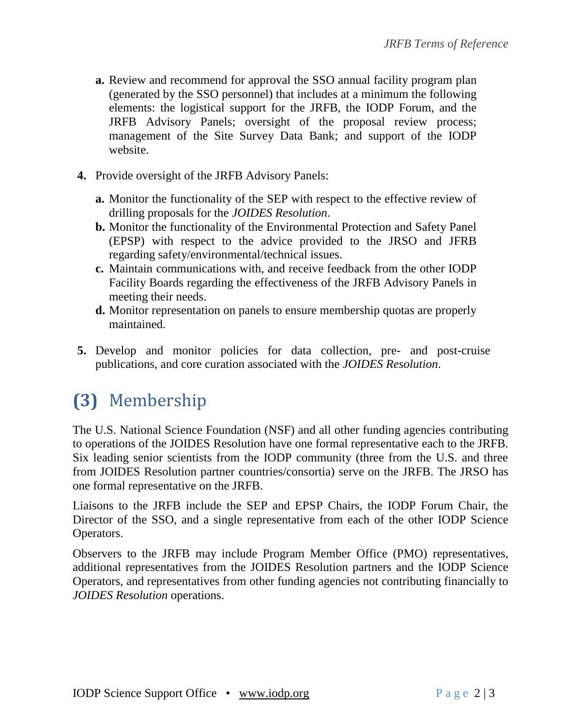- **a.** Review and recommend for approval the SSO annual facility program plan (generated by the SSO personnel) that includes at a minimum the following elements: the logistical support for the JRFB, the IODP Forum, and the JRFB Advisory Panels; oversight of the proposal review process; management of the Site Survey Data Bank; and support of the IODP website.
- **4.** Provide oversight of the JRFB Advisory Panels:
	- **a.** Monitor the functionality of the SEP with respect to the effective review of drilling proposals for the *JOIDES Resolution*.
	- **b.** Monitor the functionality of the Environmental Protection and Safety Panel (EPSP) with respect to the advice provided to the JRSO and JFRB regarding safety/environmental/technical issues.
	- **c.** Maintain communications with, and receive feedback from the other IODP Facility Boards regarding the effectiveness of the JRFB Advisory Panels in meeting their needs.
	- **d.** Monitor representation on panels to ensure membership quotas are properly maintained.
- **5.** Develop and monitor policies for data collection, pre- and post-cruise publications, and core curation associated with the *JOIDES Resolution*.

## **(3)** Membership

The U.S. National Science Foundation (NSF) and all other funding agencies contributing to operations of the JOIDES Resolution have one formal representative each to the JRFB. Six leading senior scientists from the IODP community (three from the U.S. and three from JOIDES Resolution partner countries/consortia) serve on the JRFB. The JRSO has one formal representative on the JRFB.

Liaisons to the JRFB include the SEP and EPSP Chairs, the IODP Forum Chair, the Director of the SSO, and a single representative from each of the other IODP Science Operators.

Observers to the JRFB may include Program Member Office (PMO) representatives, additional representatives from the JOIDES Resolution partners and the IODP Science Operators, and representatives from other funding agencies not contributing financially to *JOIDES Resolution* operations.